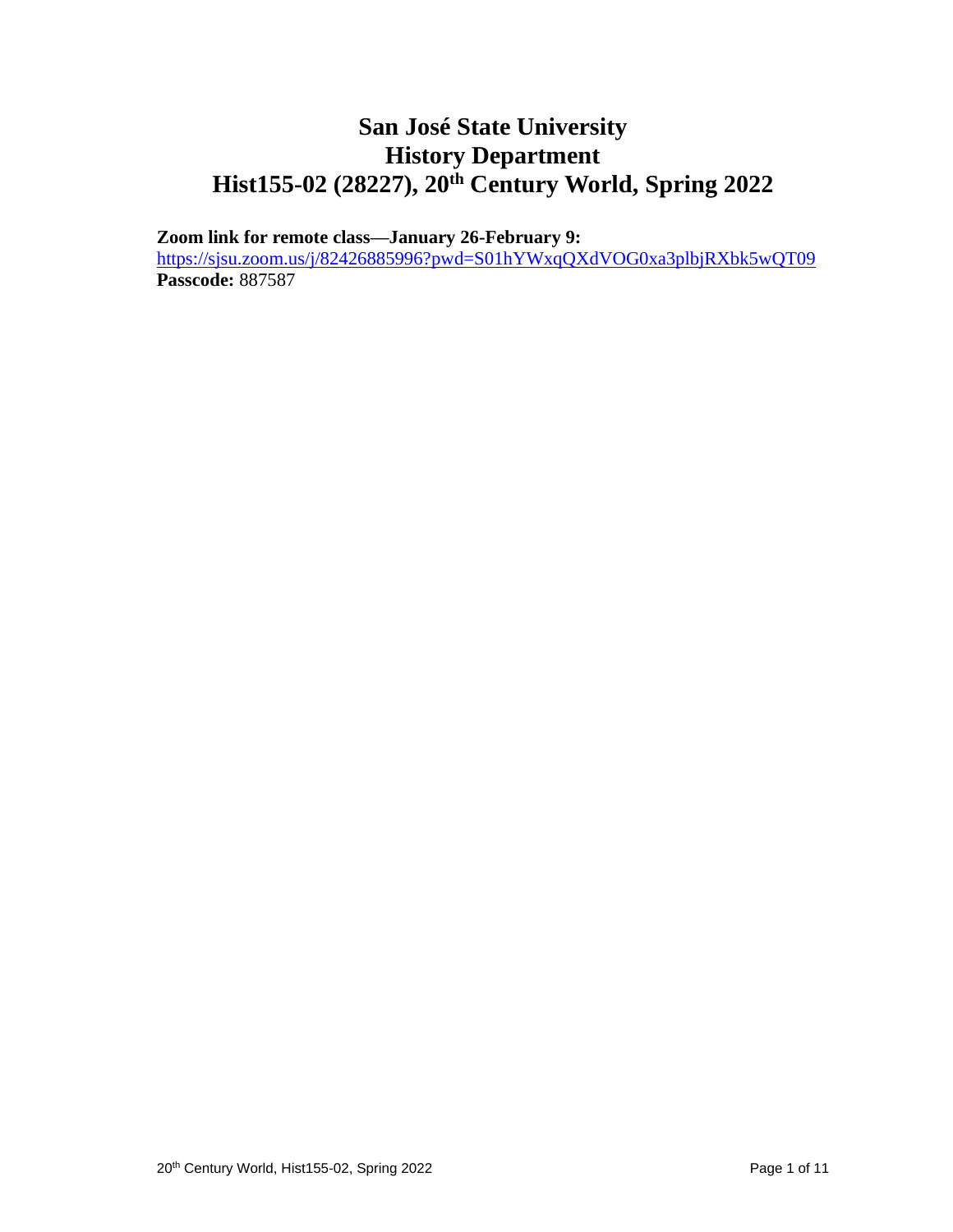## **San José State University History Department Hist155-02 (28227), 20th Century World, Spring 2022**

**Zoom link for remote class—January 26-February 9:** 

<https://sjsu.zoom.us/j/82426885996?pwd=S01hYWxqQXdVOG0xa3plbjRXbk5wQT09> **Passcode:** 887587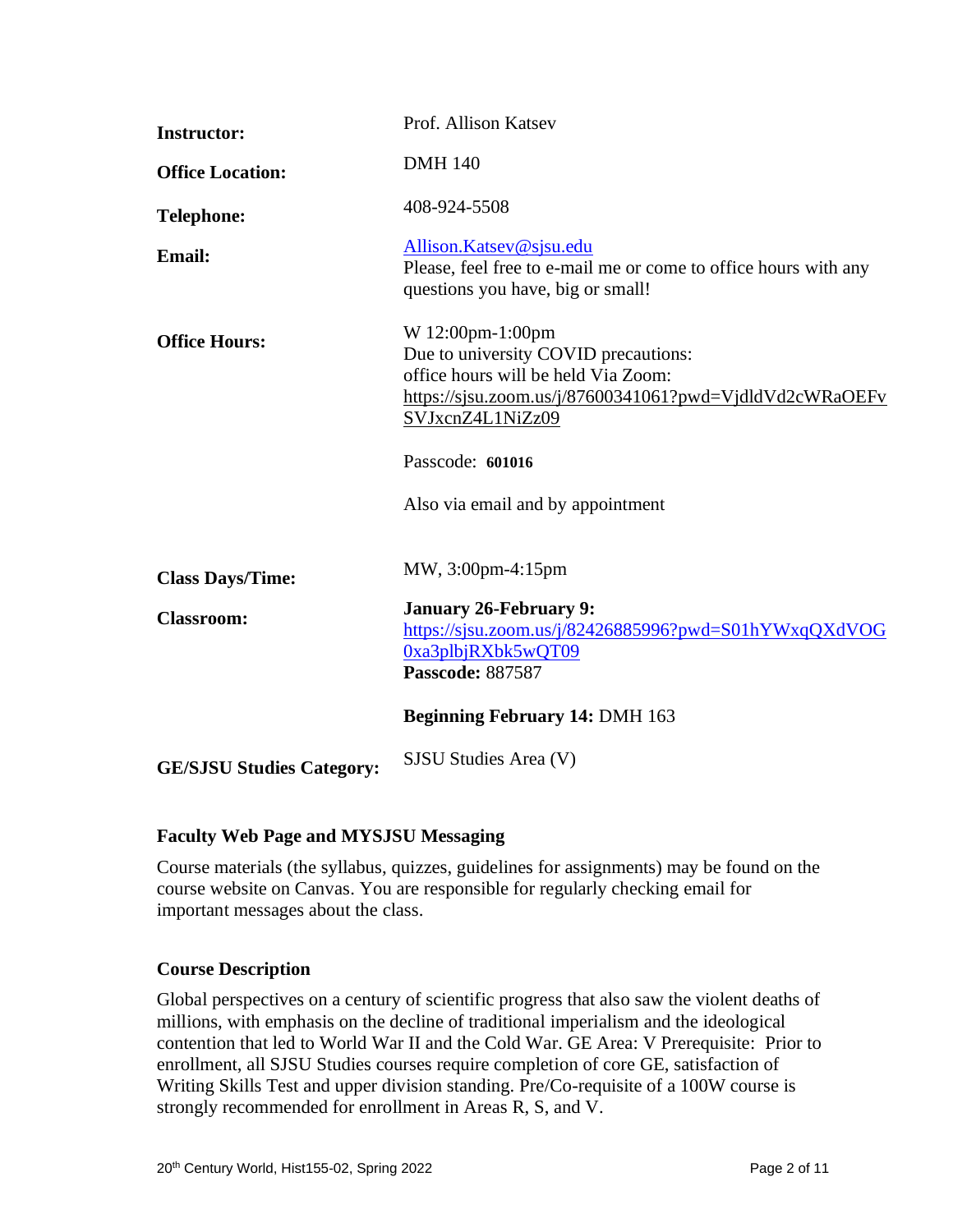| <b>Instructor:</b>               | Prof. Allison Katsev                                                                                                                                                           |
|----------------------------------|--------------------------------------------------------------------------------------------------------------------------------------------------------------------------------|
| <b>Office Location:</b>          | <b>DMH 140</b>                                                                                                                                                                 |
| <b>Telephone:</b>                | 408-924-5508                                                                                                                                                                   |
| <b>Email:</b>                    | Allison.Katsev@sjsu.edu<br>Please, feel free to e-mail me or come to office hours with any<br>questions you have, big or small!                                                |
| <b>Office Hours:</b>             | W 12:00pm-1:00pm<br>Due to university COVID precautions:<br>office hours will be held Via Zoom:<br>https://sjsu.zoom.us/j/87600341061?pwd=VjdldVd2cWRaOEFv<br>SVJxcnZ4L1NiZz09 |
|                                  | Passcode: 601016                                                                                                                                                               |
|                                  | Also via email and by appointment                                                                                                                                              |
| <b>Class Days/Time:</b>          | MW, 3:00pm-4:15pm                                                                                                                                                              |
| <b>Classroom:</b>                | <b>January 26-February 9:</b><br>https://sjsu.zoom.us/j/82426885996?pwd=S01hYWxqQXdVOG<br>0xa3plbjRXbk5wQT09<br>Passcode: 887587                                               |
|                                  | <b>Beginning February 14: DMH 163</b>                                                                                                                                          |
| <b>GE/SJSU Studies Category:</b> | SJSU Studies Area (V)                                                                                                                                                          |

#### **Faculty Web Page and MYSJSU Messaging**

Course materials (the syllabus, quizzes, guidelines for assignments) may be found on the course website on Canvas. You are responsible for regularly checking email for important messages about the class.

#### **Course Description**

Global perspectives on a century of scientific progress that also saw the violent deaths of millions, with emphasis on the decline of traditional imperialism and the ideological contention that led to World War II and the Cold War. GE Area: V Prerequisite: Prior to enrollment, all SJSU Studies courses require completion of core GE, satisfaction of Writing Skills Test and upper division standing. Pre/Co-requisite of a 100W course is strongly recommended for enrollment in Areas R, S, and V.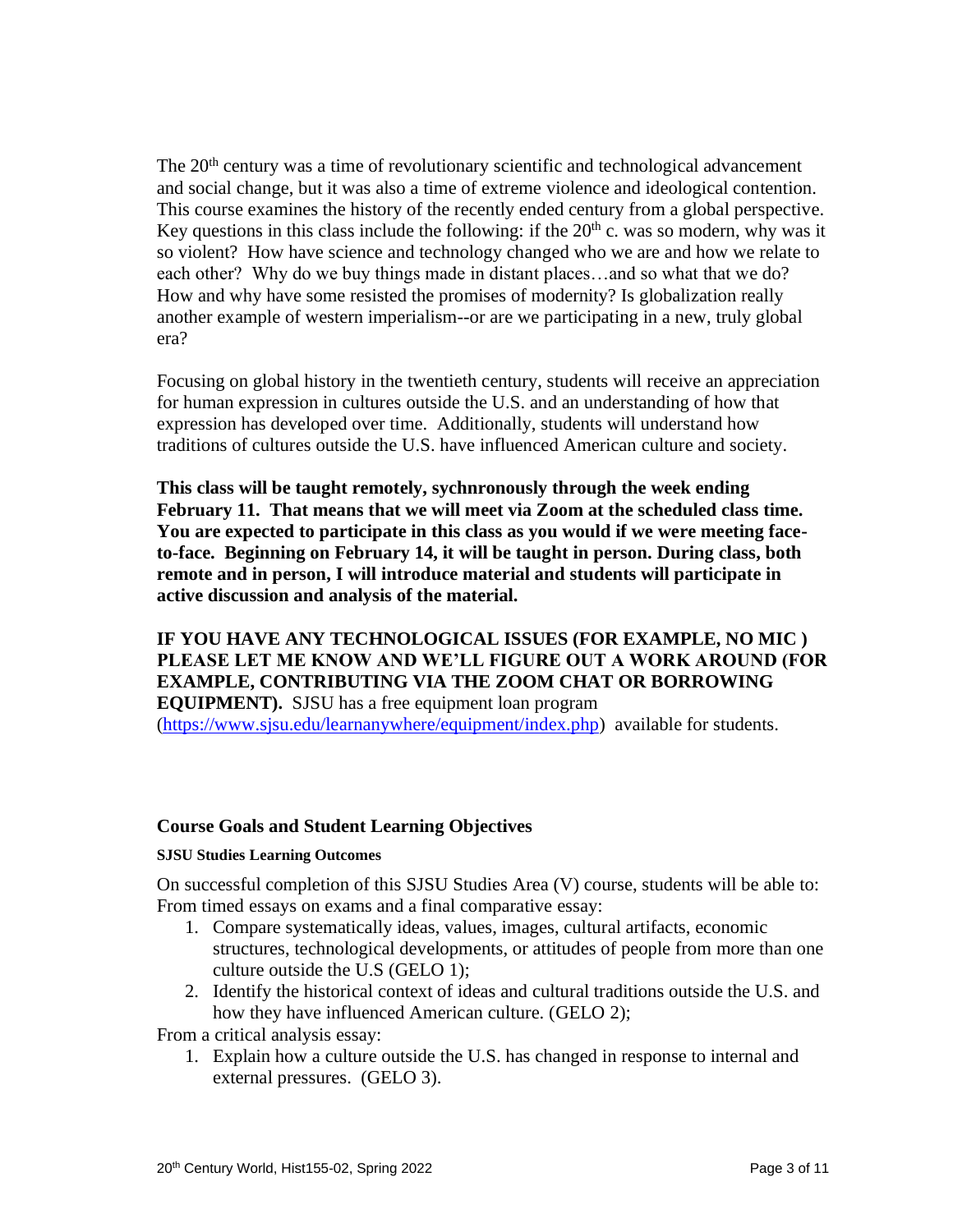The 20<sup>th</sup> century was a time of revolutionary scientific and technological advancement and social change, but it was also a time of extreme violence and ideological contention. This course examines the history of the recently ended century from a global perspective. Key questions in this class include the following: if the  $20<sup>th</sup>$  c. was so modern, why was it so violent? How have science and technology changed who we are and how we relate to each other? Why do we buy things made in distant places…and so what that we do? How and why have some resisted the promises of modernity? Is globalization really another example of western imperialism--or are we participating in a new, truly global era?

Focusing on global history in the twentieth century, students will receive an appreciation for human expression in cultures outside the U.S. and an understanding of how that expression has developed over time. Additionally, students will understand how traditions of cultures outside the U.S. have influenced American culture and society.

**This class will be taught remotely, sychnronously through the week ending February 11. That means that we will meet via Zoom at the scheduled class time. You are expected to participate in this class as you would if we were meeting faceto-face. Beginning on February 14, it will be taught in person. During class, both remote and in person, I will introduce material and students will participate in active discussion and analysis of the material.**

**IF YOU HAVE ANY TECHNOLOGICAL ISSUES (FOR EXAMPLE, NO MIC ) PLEASE LET ME KNOW AND WE'LL FIGURE OUT A WORK AROUND (FOR EXAMPLE, CONTRIBUTING VIA THE ZOOM CHAT OR BORROWING EQUIPMENT).** SJSU has a free equipment loan program [\(https://www.sjsu.edu/learnanywhere/equipment/index.php\)](https://www.sjsu.edu/learnanywhere/equipment/index.php) available for students.

#### **Course Goals and Student Learning Objectives**

#### **SJSU Studies Learning Outcomes**

On successful completion of this SJSU Studies Area (V) course, students will be able to: From timed essays on exams and a final comparative essay:

- 1. Compare systematically ideas, values, images, cultural artifacts, economic structures, technological developments, or attitudes of people from more than one culture outside the U.S (GELO 1);
- 2. Identify the historical context of ideas and cultural traditions outside the U.S. and how they have influenced American culture. (GELO 2);

From a critical analysis essay:

1. Explain how a culture outside the U.S. has changed in response to internal and external pressures. (GELO 3).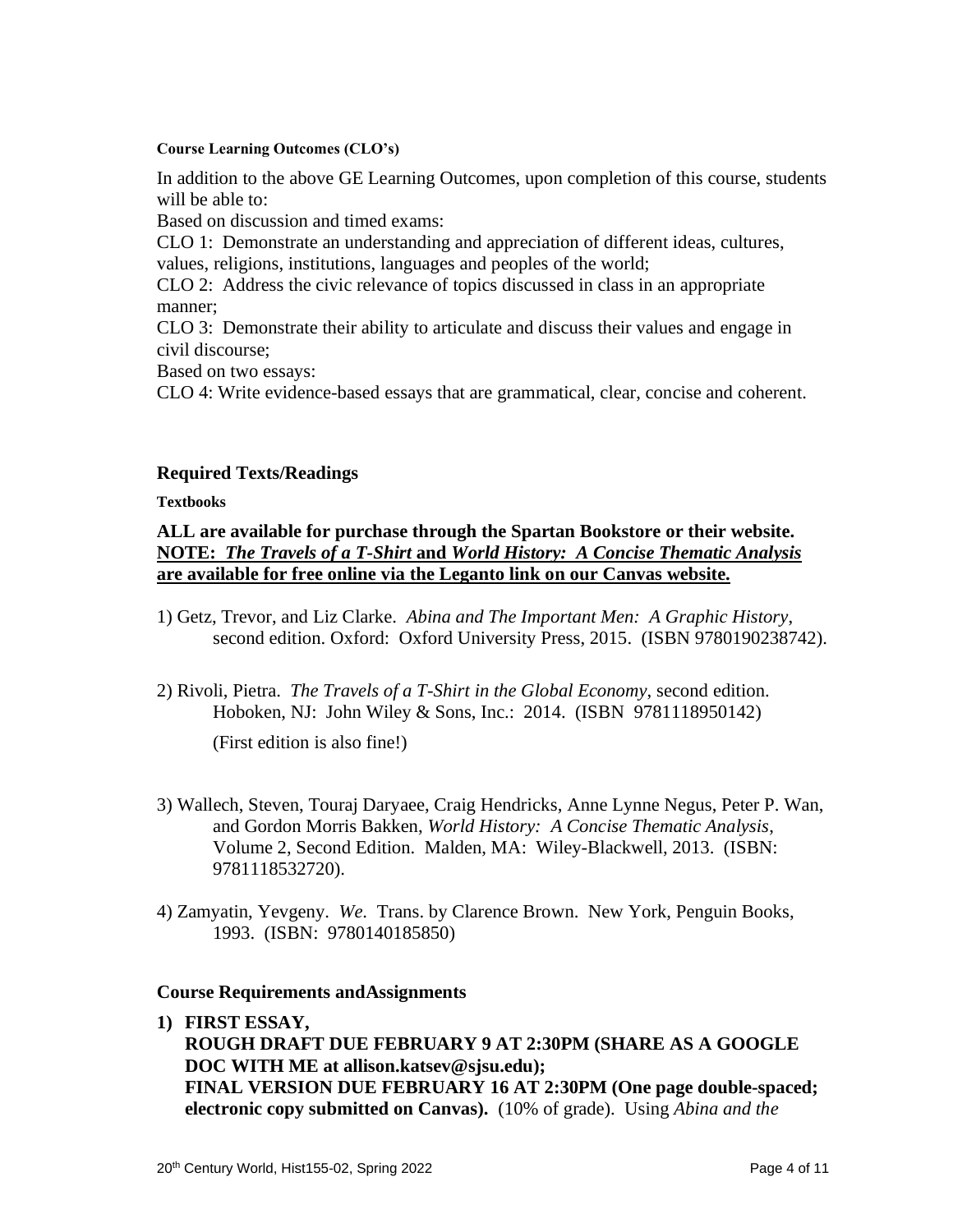#### **Course Learning Outcomes (CLO's)**

In addition to the above GE Learning Outcomes, upon completion of this course, students will be able to:

Based on discussion and timed exams:

CLO 1: Demonstrate an understanding and appreciation of different ideas, cultures, values, religions, institutions, languages and peoples of the world;

CLO 2: Address the civic relevance of topics discussed in class in an appropriate manner;

CLO 3: Demonstrate their ability to articulate and discuss their values and engage in civil discourse;

Based on two essays:

CLO 4: Write evidence-based essays that are grammatical, clear, concise and coherent.

#### **Required Texts/Readings**

**Textbooks**

## **ALL are available for purchase through the Spartan Bookstore or their website. NOTE:** *The Travels of a T-Shirt* **and** *World History: A Concise Thematic Analysis* **are available for free online via the Leganto link on our Canvas website.**

- 1) Getz, Trevor, and Liz Clarke. *Abina and The Important Men: A Graphic History*, second edition. Oxford: Oxford University Press, 2015. (ISBN 9780190238742).
- 2) Rivoli, Pietra. *The Travels of a T-Shirt in the Global Economy*, second edition. Hoboken, NJ: John Wiley & Sons, Inc.: 2014. (ISBN 9781118950142)

(First edition is also fine!)

- 3) Wallech, Steven, Touraj Daryaee, Craig Hendricks, Anne Lynne Negus, Peter P. Wan, and Gordon Morris Bakken, *World History: A Concise Thematic Analysis*, Volume 2, Second Edition. Malden, MA: Wiley-Blackwell, 2013. (ISBN: 9781118532720).
- 4) Zamyatin, Yevgeny. *We*. Trans. by Clarence Brown. New York, Penguin Books, 1993. (ISBN: 9780140185850)

#### **Course Requirements andAssignments**

**1) FIRST ESSAY,** 

**ROUGH DRAFT DUE FEBRUARY 9 AT 2:30PM (SHARE AS A GOOGLE DOC WITH ME at allison.katsev@sjsu.edu); FINAL VERSION DUE FEBRUARY 16 AT 2:30PM (One page double-spaced; electronic copy submitted on Canvas).** (10% of grade). Using *Abina and the*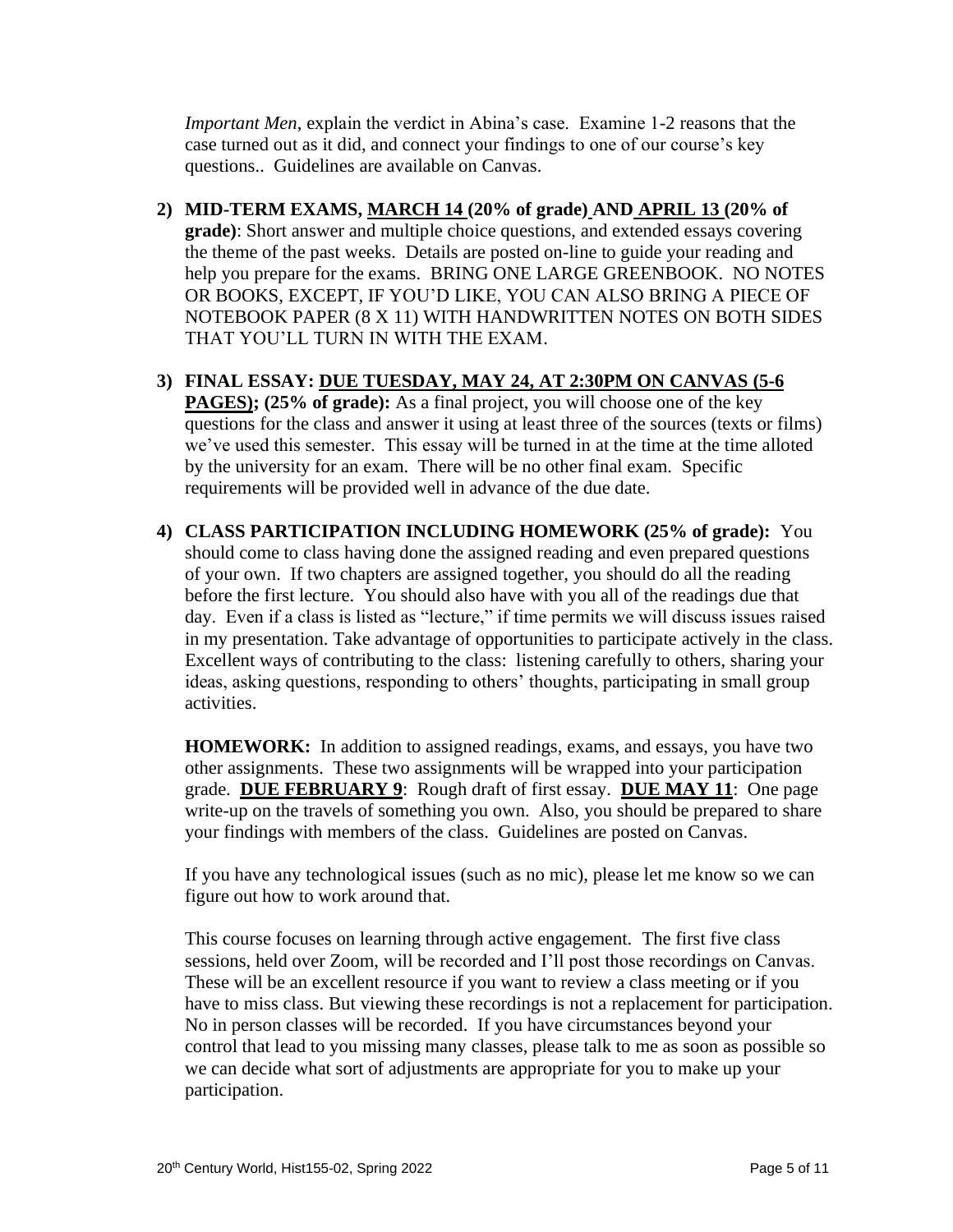*Important Men*, explain the verdict in Abina's case. Examine 1-2 reasons that the case turned out as it did, and connect your findings to one of our course's key questions.. Guidelines are available on Canvas.

- **2) MID-TERM EXAMS, MARCH 14 (20% of grade) AND APRIL 13 (20% of grade)**: Short answer and multiple choice questions, and extended essays covering the theme of the past weeks.Details are posted on-line to guide your reading and help you prepare for the exams. BRING ONE LARGE GREENBOOK. NO NOTES OR BOOKS, EXCEPT, IF YOU'D LIKE, YOU CAN ALSO BRING A PIECE OF NOTEBOOK PAPER (8 X 11) WITH HANDWRITTEN NOTES ON BOTH SIDES THAT YOU'LL TURN IN WITH THE EXAM.
- **3) FINAL ESSAY: DUE TUESDAY, MAY 24, AT 2:30PM ON CANVAS (5-6 PAGES); (25% of grade):** As a final project, you will choose one of the key questions for the class and answer it using at least three of the sources (texts or films) we've used this semester. This essay will be turned in at the time at the time alloted by the university for an exam. There will be no other final exam. Specific requirements will be provided well in advance of the due date.
- **4) CLASS PARTICIPATION INCLUDING HOMEWORK (25% of grade):** You should come to class having done the assigned reading and even prepared questions of your own. If two chapters are assigned together, you should do all the reading before the first lecture. You should also have with you all of the readings due that day. Even if a class is listed as "lecture," if time permits we will discuss issues raised in my presentation. Take advantage of opportunities to participate actively in the class. Excellent ways of contributing to the class: listening carefully to others, sharing your ideas, asking questions, responding to others' thoughts, participating in small group activities.

**HOMEWORK:** In addition to assigned readings, exams, and essays, you have two other assignments. These two assignments will be wrapped into your participation grade. **DUE FEBRUARY 9**: Rough draft of first essay. **DUE MAY 11**: One page write-up on the travels of something you own. Also, you should be prepared to share your findings with members of the class. Guidelines are posted on Canvas.

If you have any technological issues (such as no mic), please let me know so we can figure out how to work around that.

This course focuses on learning through active engagement. The first five class sessions, held over Zoom, will be recorded and I'll post those recordings on Canvas. These will be an excellent resource if you want to review a class meeting or if you have to miss class. But viewing these recordings is not a replacement for participation. No in person classes will be recorded. If you have circumstances beyond your control that lead to you missing many classes, please talk to me as soon as possible so we can decide what sort of adjustments are appropriate for you to make up your participation.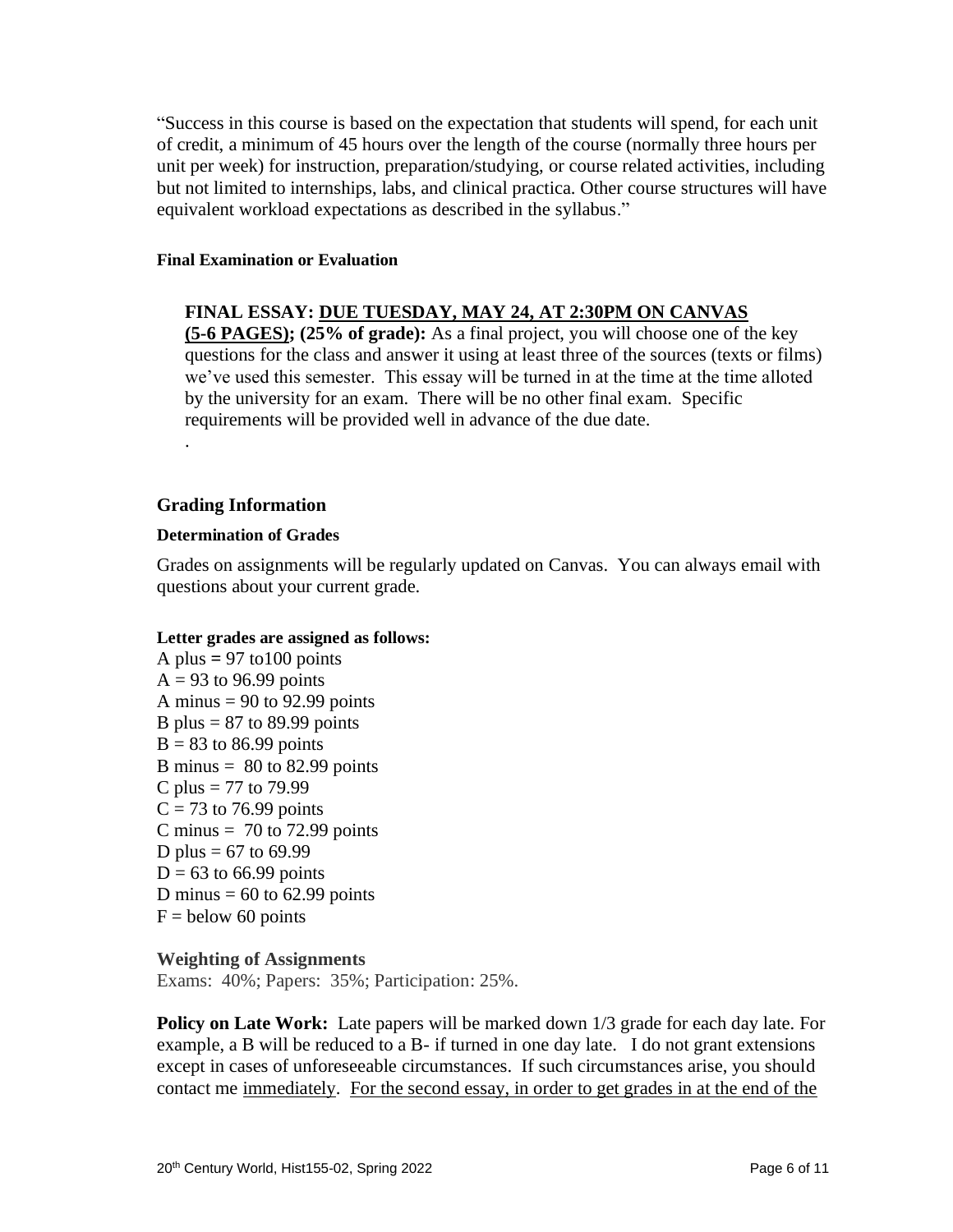"Success in this course is based on the expectation that students will spend, for each unit of credit, a minimum of 45 hours over the length of the course (normally three hours per unit per week) for instruction, preparation/studying, or course related activities, including but not limited to internships, labs, and clinical practica. Other course structures will have equivalent workload expectations as described in the syllabus."

#### **Final Examination or Evaluation**

#### **FINAL ESSAY: DUE TUESDAY, MAY 24, AT 2:30PM ON CANVAS**

**(5-6 PAGES); (25% of grade):** As a final project, you will choose one of the key questions for the class and answer it using at least three of the sources (texts or films) we've used this semester. This essay will be turned in at the time at the time alloted by the university for an exam. There will be no other final exam. Specific requirements will be provided well in advance of the due date.

#### **Grading Information**

.

#### **Determination of Grades**

Grades on assignments will be regularly updated on Canvas. You can always email with questions about your current grade.

#### **Letter grades are assigned as follows:**

A plus  $= 97$  to 100 points  $A = 93$  to 96.99 points A minus  $= 90$  to 92.99 points B plus  $= 87$  to 89.99 points  $B = 83$  to 86.99 points B minus  $= 80$  to 82.99 points C plus = 77 to 79.99  $C = 73$  to 76.99 points C minus  $= 70$  to 72.99 points D plus =  $67$  to  $69.99$  $D = 63$  to 66.99 points D minus  $= 60$  to 62.99 points  $F =$  below 60 points

#### **Weighting of Assignments**

Exams: 40%; Papers: 35%; Participation: 25%.

**Policy on Late Work:** Late papers will be marked down 1/3 grade for each day late. For example, a B will be reduced to a B- if turned in one day late. I do not grant extensions except in cases of unforeseeable circumstances. If such circumstances arise, you should contact me immediately. For the second essay, in order to get grades in at the end of the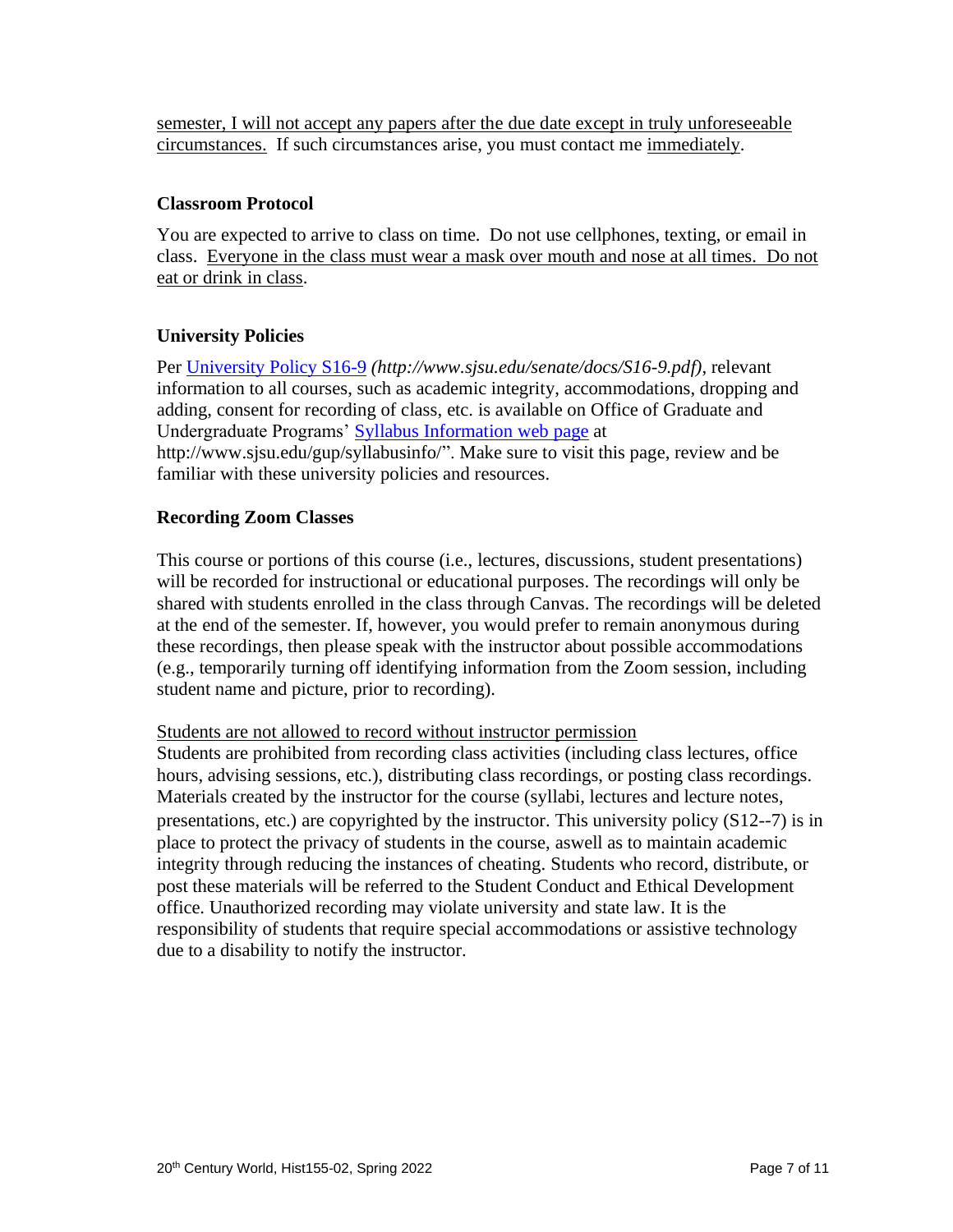semester, I will not accept any papers after the due date except in truly unforeseeable circumstances. If such circumstances arise, you must contact me immediately.

## **Classroom Protocol**

You are expected to arrive to class on time. Do not use cellphones, texting, or email in class. Everyone in the class must wear a mask over mouth and nose at all times. Do not eat or drink in class.

## **University Policies**

Per [University Policy S16-9](http://www.sjsu.edu/senate/docs/S16-9.pdf) *(http://www.sjsu.edu/senate/docs/S16-9.pdf)*, relevant information to all courses, such as academic integrity, accommodations, dropping and adding, consent for recording of class, etc. is available on Office of Graduate and Undergraduate Programs' [Syllabus Information](http://www.sjsu.edu/gup/syllabusinfo/) web page at http://www.sjsu.edu/gup/syllabusinfo/". Make sure to visit this page, review and be familiar with these university policies and resources.

#### **Recording Zoom Classes**

This course or portions of this course (i.e., lectures, discussions, student presentations) will be recorded for instructional or educational purposes. The recordings will only be shared with students enrolled in the class through Canvas. The recordings will be deleted at the end of the semester. If, however, you would prefer to remain anonymous during these recordings, then please speak with the instructor about possible accommodations (e.g., temporarily turning off identifying information from the Zoom session, including student name and picture, prior to recording).

#### Students are not allowed to record without instructor permission

Students are prohibited from recording class activities (including class lectures, office hours, advising sessions, etc.), distributing class recordings, or posting class recordings. Materials created by the instructor for the course (syllabi, lectures and lecture notes, presentations, etc.) are copyrighted by the instructor. This university policy (S12-‐7) is in place to protect the privacy of students in the course, aswell as to maintain academic integrity through reducing the instances of cheating. Students who record, distribute, or post these materials will be referred to the Student Conduct and Ethical Development office. Unauthorized recording may violate university and state law. It is the responsibility of students that require special accommodations or assistive technology due to a disability to notify the instructor.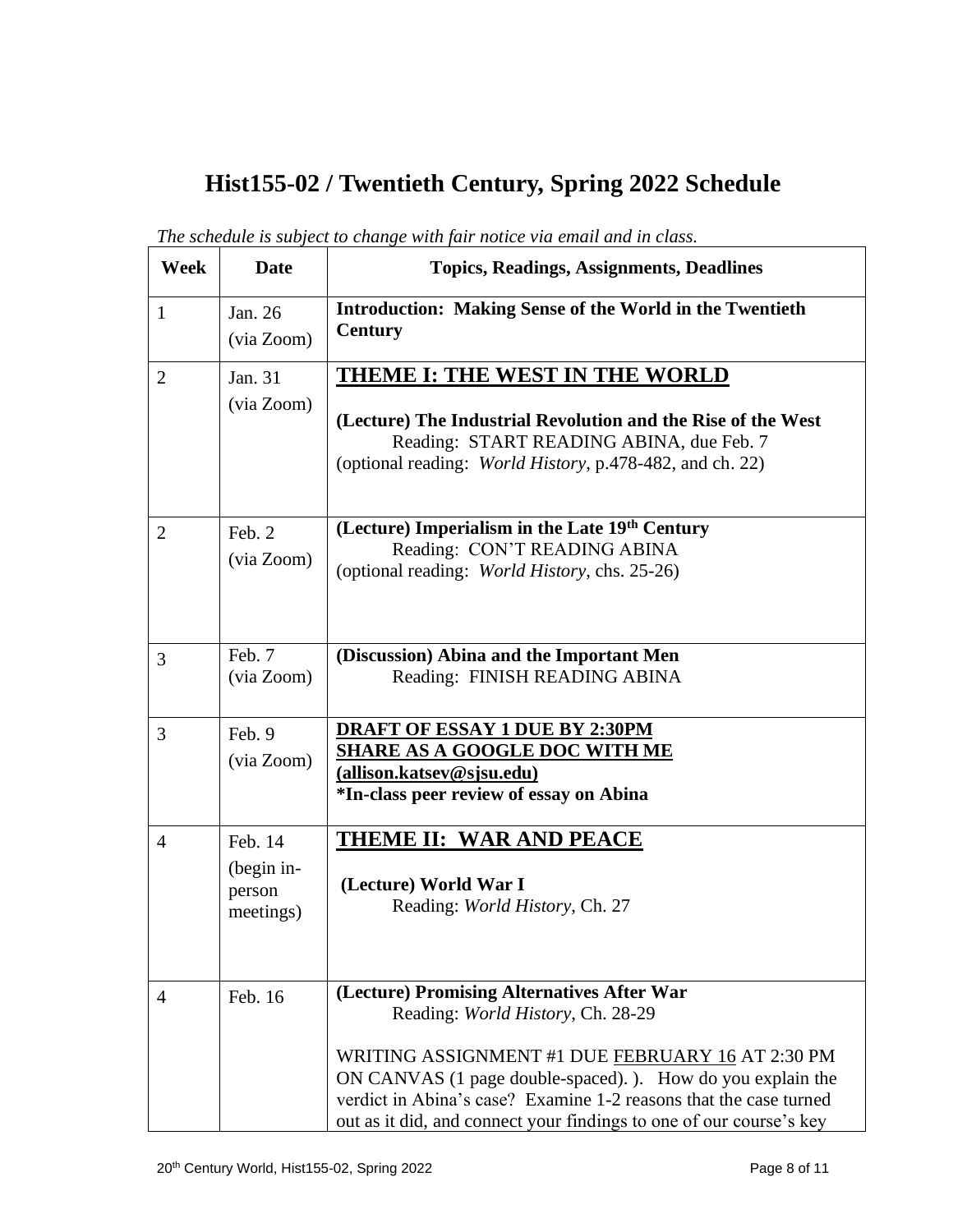# **Hist155-02 / Twentieth Century, Spring 2022 Schedule**

| Week           | <b>Date</b>                                  | <b>Topics, Readings, Assignments, Deadlines</b>                                                                                                                                                                                                                                                                                                |
|----------------|----------------------------------------------|------------------------------------------------------------------------------------------------------------------------------------------------------------------------------------------------------------------------------------------------------------------------------------------------------------------------------------------------|
| $\mathbf{1}$   | Jan. 26<br>(via Zoom)                        | <b>Introduction: Making Sense of the World in the Twentieth</b><br><b>Century</b>                                                                                                                                                                                                                                                              |
| $\overline{2}$ | Jan. 31<br>(via Zoom)                        | THEME I: THE WEST IN THE WORLD<br>(Lecture) The Industrial Revolution and the Rise of the West<br>Reading: START READING ABINA, due Feb. 7<br>(optional reading: <i>World History</i> , p.478-482, and ch. 22)                                                                                                                                 |
| $\overline{2}$ | Feb. 2<br>(via Zoom)                         | (Lecture) Imperialism in the Late 19th Century<br>Reading: CON'T READING ABINA<br>(optional reading: World History, chs. 25-26)                                                                                                                                                                                                                |
| 3              | Feb. 7<br>(via Zoom)                         | (Discussion) Abina and the Important Men<br>Reading: FINISH READING ABINA                                                                                                                                                                                                                                                                      |
| 3              | Feb. 9<br>(via Zoom)                         | <b>DRAFT OF ESSAY 1 DUE BY 2:30PM</b><br><b>SHARE AS A GOOGLE DOC WITH ME</b><br>(allison.katsev@sjsu.edu)<br>*In-class peer review of essay on Abina                                                                                                                                                                                          |
| $\overline{4}$ | Feb. 14<br>(begin in-<br>person<br>meetings) | <b>THEME II: WAR AND PEACE</b><br>(Lecture) World War I<br>Reading: World History, Ch. 27                                                                                                                                                                                                                                                      |
| 4              | Feb. 16                                      | (Lecture) Promising Alternatives After War<br>Reading: World History, Ch. 28-29<br>WRITING ASSIGNMENT #1 DUE FEBRUARY 16 AT 2:30 PM<br>ON CANVAS (1 page double-spaced). ). How do you explain the<br>verdict in Abina's case? Examine 1-2 reasons that the case turned<br>out as it did, and connect your findings to one of our course's key |

*The schedule is subject to change with fair notice via email and in class.*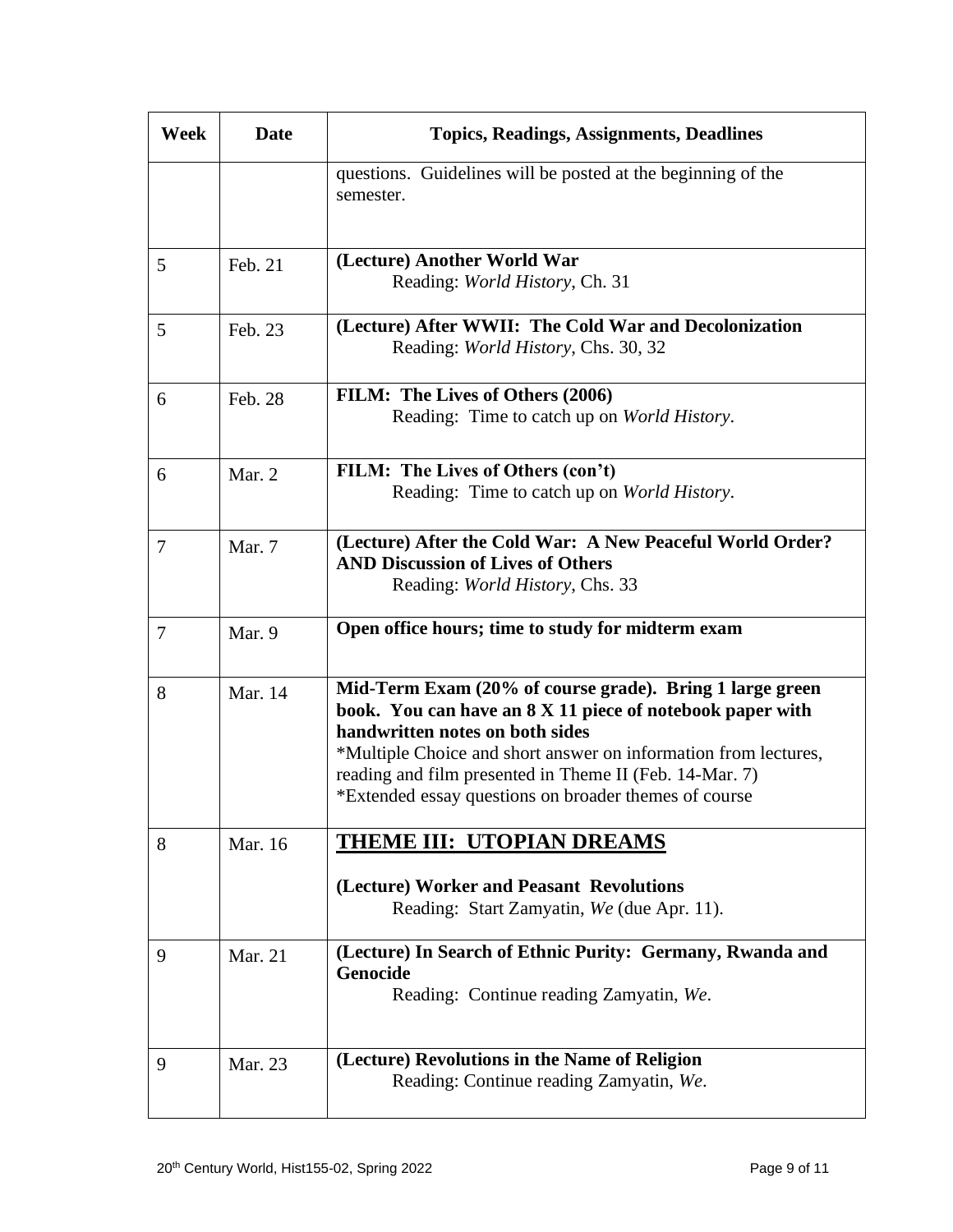| Week   | <b>Date</b> | <b>Topics, Readings, Assignments, Deadlines</b>                                                                                                                                                                                                                                                                                                 |
|--------|-------------|-------------------------------------------------------------------------------------------------------------------------------------------------------------------------------------------------------------------------------------------------------------------------------------------------------------------------------------------------|
|        |             | questions. Guidelines will be posted at the beginning of the<br>semester.                                                                                                                                                                                                                                                                       |
|        |             |                                                                                                                                                                                                                                                                                                                                                 |
| 5      | Feb. 21     | (Lecture) Another World War<br>Reading: World History, Ch. 31                                                                                                                                                                                                                                                                                   |
| 5      | Feb. 23     | (Lecture) After WWII: The Cold War and Decolonization<br>Reading: World History, Chs. 30, 32                                                                                                                                                                                                                                                    |
| 6      | Feb. 28     | FILM: The Lives of Others (2006)<br>Reading: Time to catch up on World History.                                                                                                                                                                                                                                                                 |
| 6      | Mar. 2      | FILM: The Lives of Others (con't)<br>Reading: Time to catch up on World History.                                                                                                                                                                                                                                                                |
| 7      | Mar. 7      | (Lecture) After the Cold War: A New Peaceful World Order?<br><b>AND Discussion of Lives of Others</b><br>Reading: <i>World History</i> , Chs. 33                                                                                                                                                                                                |
| $\tau$ | Mar. 9      | Open office hours; time to study for midterm exam                                                                                                                                                                                                                                                                                               |
| 8      | Mar. 14     | Mid-Term Exam (20% of course grade). Bring 1 large green<br>book. You can have an 8 X 11 piece of notebook paper with<br>handwritten notes on both sides<br>*Multiple Choice and short answer on information from lectures,<br>reading and film presented in Theme II (Feb. 14-Mar. 7)<br>*Extended essay questions on broader themes of course |
| 8      | Mar. 16     | THEME III: UTOPIAN DREAMS                                                                                                                                                                                                                                                                                                                       |
|        |             | (Lecture) Worker and Peasant Revolutions<br>Reading: Start Zamyatin, We (due Apr. 11).                                                                                                                                                                                                                                                          |
| 9      | Mar. 21     | (Lecture) In Search of Ethnic Purity: Germany, Rwanda and<br>Genocide<br>Reading: Continue reading Zamyatin, We.                                                                                                                                                                                                                                |
| 9      | Mar. 23     | (Lecture) Revolutions in the Name of Religion<br>Reading: Continue reading Zamyatin, We.                                                                                                                                                                                                                                                        |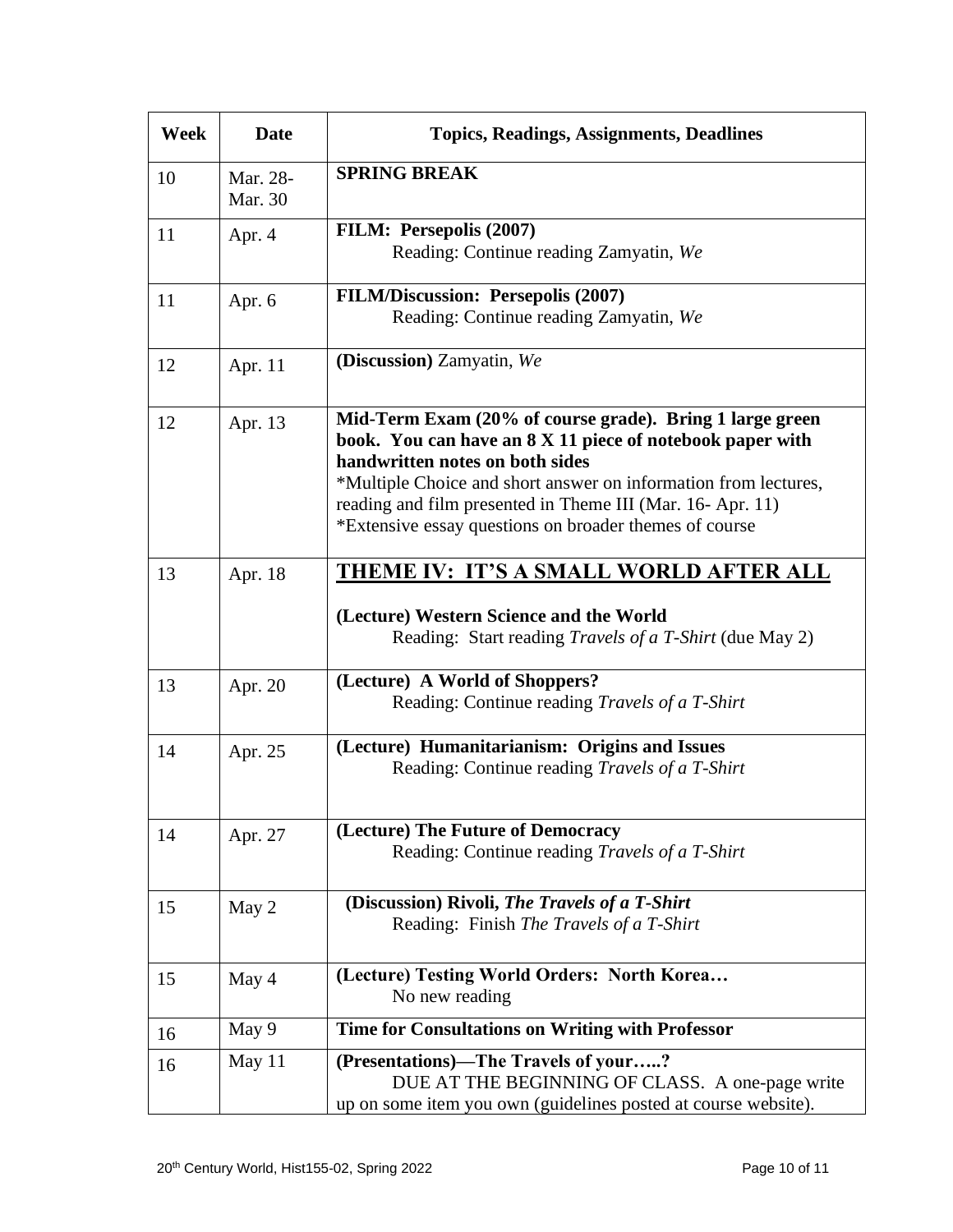| Week | <b>Date</b>         | <b>Topics, Readings, Assignments, Deadlines</b>                                                                                                                                                                                                                                                                                                    |
|------|---------------------|----------------------------------------------------------------------------------------------------------------------------------------------------------------------------------------------------------------------------------------------------------------------------------------------------------------------------------------------------|
| 10   | Mar. 28-<br>Mar. 30 | <b>SPRING BREAK</b>                                                                                                                                                                                                                                                                                                                                |
| 11   | Apr. 4              | FILM: Persepolis (2007)<br>Reading: Continue reading Zamyatin, We                                                                                                                                                                                                                                                                                  |
| 11   | Apr. 6              | <b>FILM/Discussion: Persepolis (2007)</b><br>Reading: Continue reading Zamyatin, We                                                                                                                                                                                                                                                                |
| 12   | Apr. 11             | (Discussion) Zamyatin, We                                                                                                                                                                                                                                                                                                                          |
| 12   | Apr. 13             | Mid-Term Exam (20% of course grade). Bring 1 large green<br>book. You can have an 8 X 11 piece of notebook paper with<br>handwritten notes on both sides<br>*Multiple Choice and short answer on information from lectures,<br>reading and film presented in Theme III (Mar. 16-Apr. 11)<br>*Extensive essay questions on broader themes of course |
| 13   | Apr. 18             | <u>THEME IV: IT'S A SMALL WORLD AFTER ALL</u><br>(Lecture) Western Science and the World<br>Reading: Start reading <i>Travels of a T-Shirt</i> (due May 2)                                                                                                                                                                                         |
| 13   | Apr. 20             | (Lecture) A World of Shoppers?<br>Reading: Continue reading Travels of a T-Shirt                                                                                                                                                                                                                                                                   |
| 14   | Apr. 25             | (Lecture) Humanitarianism: Origins and Issues<br>Reading: Continue reading Travels of a T-Shirt                                                                                                                                                                                                                                                    |
| 14   | Apr. 27             | (Lecture) The Future of Democracy<br>Reading: Continue reading Travels of a T-Shirt                                                                                                                                                                                                                                                                |
| 15   | May 2               | (Discussion) Rivoli, The Travels of a T-Shirt<br>Reading: Finish The Travels of a T-Shirt                                                                                                                                                                                                                                                          |
| 15   | May 4               | (Lecture) Testing World Orders: North Korea<br>No new reading                                                                                                                                                                                                                                                                                      |
| 16   | May 9               | Time for Consultations on Writing with Professor                                                                                                                                                                                                                                                                                                   |
| 16   | May 11              | (Presentations)-The Travels of your?<br>DUE AT THE BEGINNING OF CLASS. A one-page write<br>up on some item you own (guidelines posted at course website).                                                                                                                                                                                          |